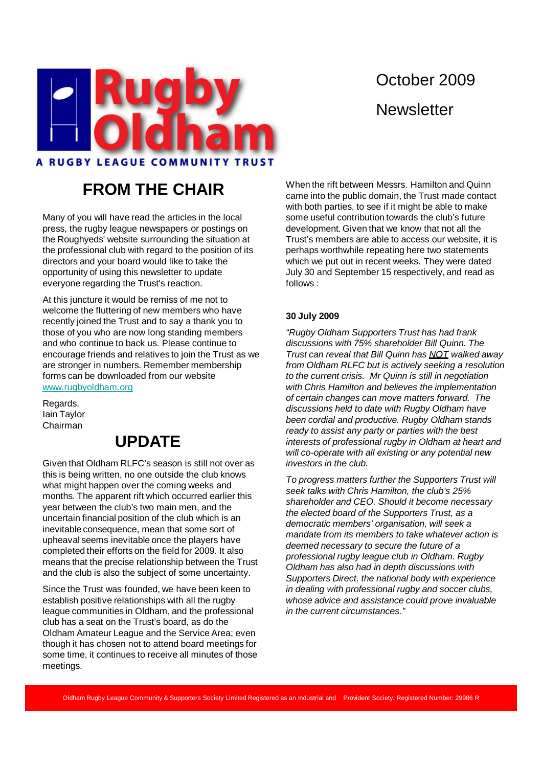

# October 2009 **Newsletter**

## **FROM THE CHAIR**

Many of you will have read the articles in the local press, the rugby league newspapers or postings on the Roughyeds' website surrounding the situation at the professional club with regard to the position of its directors and your board would like to take the opportunity of using this newsletter to update everyone regarding the Trust's reaction.

At this juncture it would be remiss of me not to welcome the fluttering of new members who have recently joined the Trust and to say a thank you to those of you who are now long standing members and who continue to back us. Please continue to encourage friends and relatives to join the Trust as we are stronger in numbers. Remember membership forms can be downloaded from our website www.rugbyoldham.org

Regards, Iain Taylor Chairman

### **UPDATE**

Given that Oldham RLFC's season is still not over as this is being written, no one outside the club knows what might happen over the coming weeks and months. The apparent rift which occurred earlier this year between the club's two main men, and the uncertain financial position of the club which is an inevitable consequence, mean that some sort of upheaval seems inevitable once the players have completed their efforts on the field for 2009. It also means that the precise relationship between the Trust and the club is also the subject of some uncertainty.

Since the Trust was founded, we have been keen to establish positive relationships with all the rugby league communities in Oldham, and the professional club has a seat on the Trust's board, as do the Oldham Amateur League and the Service Area; even though it has chosen not to attend board meetings for some time, it continues to receive all minutes of those meetings.

When the rift between Messrs. Hamilton and Quinn came into the public domain, the Trust made contact with both parties, to see if it might be able to make some useful contribution towards the club's future development. Given that we know that not all the Trust's members are able to access our website, it is perhaps worthwhile repeating here two statements which we put out in recent weeks. They were dated July 30 and September 15 respectively, and read as follows :

### **30 July 2009**

"Rugby Oldham Supporters Trust has had frank discussions with 75% shareholder Bill Quinn. The Trust can reveal that Bill Quinn has NOT walked away from Oldham RLFC but is actively seeking a resolution to the current crisis. Mr Quinn is still in negotiation with Chris Hamilton and believes the implementation of certain changes can move matters forward. The discussions held to date with Rugby Oldham have been cordial and productive. Rugby Oldham stands ready to assist any party or parties with the best interests of professional rugby in Oldham at heart and will co-operate with all existing or any potential new investors in the club.

To progress matters further the Supporters Trust will seek talks with Chris Hamilton, the club's 25% shareholder and CEO. Should it become necessary the elected board of the Supporters Trust, as a democratic members' organisation, will seek a mandate from its members to take whatever action is deemed necessary to secure the future of a professional rugby league club in Oldham. Rugby Oldham has also had in depth discussions with Supporters Direct, the national body with experience in dealing with professional rugby and soccer clubs, whose advice and assistance could prove invaluable in the current circumstances."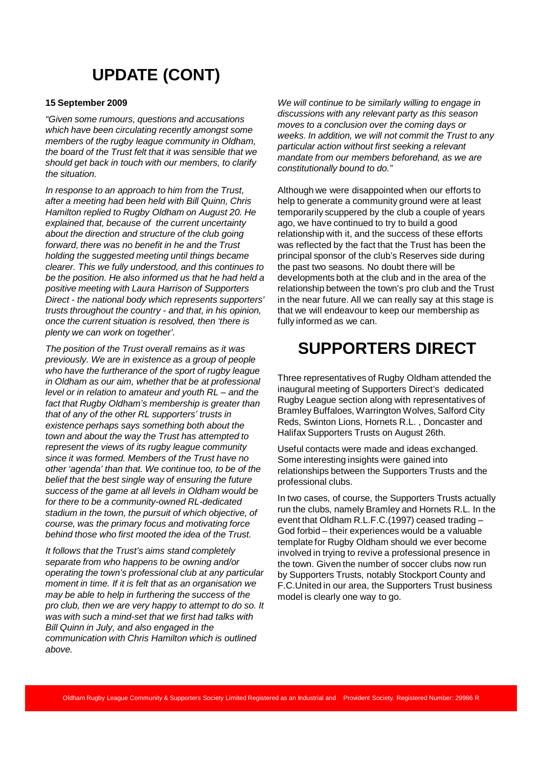# **UPDATE (CONT)**

#### **15 September 2009**

"Given some rumours, questions and accusations which have been circulating recently amongst some members of the rugby league community in Oldham, the board of the Trust felt that it was sensible that we should get back in touch with our members, to clarify the situation.

In response to an approach to him from the Trust, after a meeting had been held with Bill Quinn, Chris Hamilton replied to Rugby Oldham on August 20. He explained that, because of the current uncertainty about the direction and structure of the club going forward, there was no benefit in he and the Trust holding the suggested meeting until things became clearer. This we fully understood, and this continues to be the position. He also informed us that he had held a positive meeting with Laura Harrison of Supporters Direct - the national body which represents supporters' trusts throughout the country - and that, in his opinion, once the current situation is resolved, then 'there is plenty we can work on together'.

The position of the Trust overall remains as it was previously. We are in existence as a group of people who have the furtherance of the sport of rugby league in Oldham as our aim, whether that be at professional level or in relation to amateur and youth RL – and the fact that Rugby Oldham's membership is greater than that of any of the other RL supporters' trusts in existence perhaps says something both about the town and about the way the Trust has attempted to represent the views of its rugby league community since it was formed. Members of the Trust have no other 'agenda' than that. We continue too, to be of the belief that the best single way of ensuring the future success of the game at all levels in Oldham would be for there to be a community-owned RL-dedicated stadium in the town, the pursuit of which objective, of course, was the primary focus and motivating force behind those who first mooted the idea of the Trust.

It follows that the Trust's aims stand completely separate from who happens to be owning and/or operating the town's professional club at any particular moment in time. If it is felt that as an organisation we may be able to help in furthering the success of the pro club, then we are very happy to attempt to do so. It was with such a mind-set that we first had talks with Bill Quinn in July, and also engaged in the communication with Chris Hamilton which is outlined above.

We will continue to be similarly willing to engage in discussions with any relevant party as this season moves to a conclusion over the coming days or weeks. In addition, we will not commit the Trust to any particular action without first seeking a relevant mandate from our members beforehand, as we are constitutionally bound to do."

Although we were disappointed when our efforts to help to generate a community ground were at least temporarily scuppered by the club a couple of years ago, we have continued to try to build a good relationship with it, and the success of these efforts was reflected by the fact that the Trust has been the principal sponsor of the club's Reserves side during the past two seasons. No doubt there will be developments both at the club and in the area of the relationship between the town's pro club and the Trust in the near future. All we can really say at this stage is that we will endeavour to keep our membership as fully informed as we can.

### **SUPPORTERS DIRECT**

Three representatives of Rugby Oldham attended the inaugural meeting of Supporters Direct's dedicated Rugby League section along with representatives of Bramley Buffaloes, Warrington Wolves, Salford City Reds, Swinton Lions, Hornets R.L. , Doncaster and Halifax Supporters Trusts on August 26th.

Useful contacts were made and ideas exchanged. Some interesting insights were gained into relationships between the Supporters Trusts and the professional clubs.

In two cases, of course, the Supporters Trusts actually run the clubs, namely Bramley and Hornets R.L. In the event that Oldham R.L.F.C.(1997) ceased trading – God forbid – their experiences would be a valuable template for Rugby Oldham should we ever become involved in trying to revive a professional presence in the town. Given the number of soccer clubs now run by Supporters Trusts, notably Stockport County and F.C.United in our area, the Supporters Trust business model is clearly one way to go.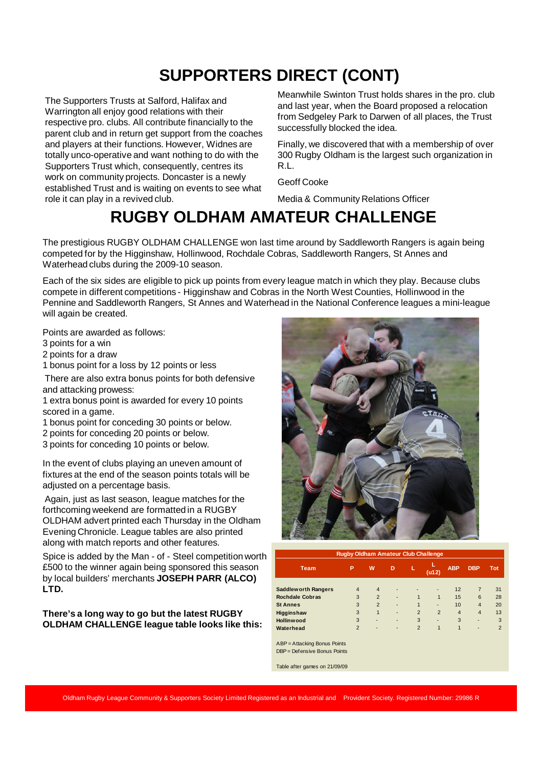# **SUPPORTERS DIRECT (CONT)**

The Supporters Trusts at Salford, Halifax and Warrington all enjoy good relations with their respective pro. clubs. All contribute financially to the parent club and in return get support from the coaches and players at their functions. However, Widnes are totally unco-operative and want nothing to do with the Supporters Trust which, consequently, centres its work on community projects. Doncaster is a newly established Trust and is waiting on events to see what role it can play in a revived club.

Meanwhile Swinton Trust holds shares in the pro. club and last year, when the Board proposed a relocation from Sedgeley Park to Darwen of all places, the Trust successfully blocked the idea.

Finally, we discovered that with a membership of over 300 Rugby Oldham is the largest such organization in R.L.

Geoff Cooke

Media & Community Relations Officer

# **RUGBY OLDHAM AMATEUR CHALLENGE**

The prestigious RUGBY OLDHAM CHALLENGE won last time around by Saddleworth Rangers is again being competed for by the Higginshaw, Hollinwood, Rochdale Cobras, Saddleworth Rangers, St Annes and Waterhead clubs during the 2009-10 season.

Each of the six sides are eligible to pick up points from every league match in which they play. Because clubs compete in different competitions - Higginshaw and Cobras in the North West Counties, Hollinwood in the Pennine and Saddleworth Rangers, St Annes and Waterhead in the National Conference leagues a mini-league will again be created.

Points are awarded as follows:

3 points for a win

2 points for a draw

1 bonus point for a loss by 12 points or less

There are also extra bonus points for both defensive and attacking prowess:

1 extra bonus point is awarded for every 10 points scored in a game.

1 bonus point for conceding 30 points or below.

2 points for conceding 20 points or below.

3 points for conceding 10 points or below.

In the event of clubs playing an uneven amount of fixtures at the end of the season points totals will be adjusted on a percentage basis.

Again, just as last season, league matches for the forthcoming weekend are formatted in a RUGBY OLDHAM advert printed each Thursday in the Oldham Evening Chronicle. League tables are also printed along with match reports and other features.

Spice is added by the Man - of - Steel competition worth £500 to the winner again being sponsored this season by local builders' merchants **JOSEPH PARR (ALCO) LTD.**

**There's a long way to go but the latest RUGBY OLDHAM CHALLENGE league table looks like this:**



| <b>Rugby Oldham Amateur Club Challenge</b> |                |                |                              |                |                              |                |                |                |
|--------------------------------------------|----------------|----------------|------------------------------|----------------|------------------------------|----------------|----------------|----------------|
| <b>Team</b>                                | ΙP             | W              | D                            | L              | $($ u12 $)$                  | <b>ABP</b>     | <b>DBP</b>     | <b>Tot</b>     |
| <b>Saddlew orth Rangers</b>                | $\overline{4}$ | $\overline{4}$ |                              |                | $\qquad \qquad \blacksquare$ | 12             | $\overline{7}$ | 31             |
| <b>Rochdale Cobras</b>                     | 3              | $\overline{2}$ | $\overline{a}$               | 1              | 1                            | 15             | 6              | 28             |
| <b>St Annes</b>                            | 3              | $\overline{2}$ | ٠                            | 1              |                              | 10             | $\overline{4}$ | 20             |
| Higginshaw                                 | 3              | 1              | $\qquad \qquad \blacksquare$ | $\overline{2}$ | $\overline{2}$               | $\overline{4}$ | $\overline{4}$ | 13             |
| <b>Hollinwood</b>                          | 3              |                | $\qquad \qquad \blacksquare$ | 3              | ٠                            | 3              | -              | 3              |
| Waterhead                                  | $\overline{2}$ |                |                              | $\overline{2}$ | 1                            | 1              |                | $\overline{2}$ |
| ABP = Attacking Bonus Points               |                |                |                              |                |                              |                |                |                |
| $DBP = Defensive Bonus Points$             |                |                |                              |                |                              |                |                |                |
| Table after games on 21/09/09              |                |                |                              |                |                              |                |                |                |